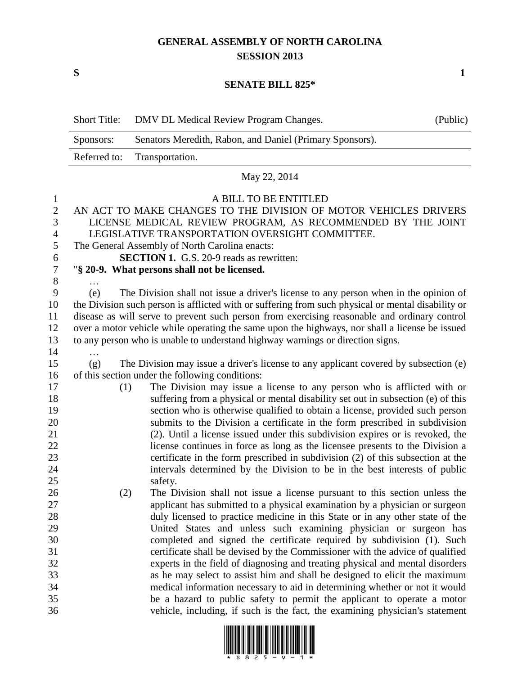## **GENERAL ASSEMBLY OF NORTH CAROLINA SESSION 2013**

**S 1**

## **SENATE BILL 825\***

|                                                   | <b>Short Title:</b> | DMV DL Medical Review Program Changes.                                                                                                                                                                                                                                                                                                                                                                                                                                         | (Public) |
|---------------------------------------------------|---------------------|--------------------------------------------------------------------------------------------------------------------------------------------------------------------------------------------------------------------------------------------------------------------------------------------------------------------------------------------------------------------------------------------------------------------------------------------------------------------------------|----------|
|                                                   | Sponsors:           | Senators Meredith, Rabon, and Daniel (Primary Sponsors).                                                                                                                                                                                                                                                                                                                                                                                                                       |          |
|                                                   | Referred to:        | Transportation.                                                                                                                                                                                                                                                                                                                                                                                                                                                                |          |
|                                                   |                     | May 22, 2014                                                                                                                                                                                                                                                                                                                                                                                                                                                                   |          |
| $\bf{l}$<br>$\mathbf{2}$<br>3<br>4<br>5<br>6<br>7 |                     | A BILL TO BE ENTITLED<br>AN ACT TO MAKE CHANGES TO THE DIVISION OF MOTOR VEHICLES DRIVERS<br>LICENSE MEDICAL REVIEW PROGRAM, AS RECOMMENDED BY THE JOINT<br>LEGISLATIVE TRANSPORTATION OVERSIGHT COMMITTEE.<br>The General Assembly of North Carolina enacts:<br><b>SECTION 1.</b> G.S. 20-9 reads as rewritten:<br>"§ 20-9. What persons shall not be licensed.                                                                                                               |          |
| 8<br>9<br>10<br>11<br>12<br>13<br>14              | (e)                 | The Division shall not issue a driver's license to any person when in the opinion of<br>the Division such person is afflicted with or suffering from such physical or mental disability or<br>disease as will serve to prevent such person from exercising reasonable and ordinary control<br>over a motor vehicle while operating the same upon the highways, nor shall a license be issued<br>to any person who is unable to understand highway warnings or direction signs. |          |
| 15                                                | (g)                 | The Division may issue a driver's license to any applicant covered by subsection (e)                                                                                                                                                                                                                                                                                                                                                                                           |          |
| 16<br>17<br>18<br>19<br>20                        | (1)                 | of this section under the following conditions:<br>The Division may issue a license to any person who is afflicted with or<br>suffering from a physical or mental disability set out in subsection (e) of this<br>section who is otherwise qualified to obtain a license, provided such person<br>submits to the Division a certificate in the form prescribed in subdivision                                                                                                  |          |
| 21<br>22<br>23                                    |                     | (2). Until a license issued under this subdivision expires or is revoked, the<br>license continues in force as long as the licensee presents to the Division a<br>certificate in the form prescribed in subdivision (2) of this subsection at the                                                                                                                                                                                                                              |          |
| 24<br>25                                          |                     | intervals determined by the Division to be in the best interests of public<br>safety.                                                                                                                                                                                                                                                                                                                                                                                          |          |
| 26<br>27                                          | (2)                 | The Division shall not issue a license pursuant to this section unless the<br>applicant has submitted to a physical examination by a physician or surgeon                                                                                                                                                                                                                                                                                                                      |          |
| 28                                                |                     | duly licensed to practice medicine in this State or in any other state of the                                                                                                                                                                                                                                                                                                                                                                                                  |          |
| 29                                                |                     | United States and unless such examining physician or surgeon has                                                                                                                                                                                                                                                                                                                                                                                                               |          |
| 30                                                |                     | completed and signed the certificate required by subdivision (1). Such                                                                                                                                                                                                                                                                                                                                                                                                         |          |
| 31                                                |                     | certificate shall be devised by the Commissioner with the advice of qualified                                                                                                                                                                                                                                                                                                                                                                                                  |          |
| 32                                                |                     | experts in the field of diagnosing and treating physical and mental disorders<br>as he may select to assist him and shall be designed to elicit the maximum                                                                                                                                                                                                                                                                                                                    |          |
| 33<br>34                                          |                     | medical information necessary to aid in determining whether or not it would                                                                                                                                                                                                                                                                                                                                                                                                    |          |
| 35                                                |                     | be a hazard to public safety to permit the applicant to operate a motor                                                                                                                                                                                                                                                                                                                                                                                                        |          |
| 36                                                |                     | vehicle, including, if such is the fact, the examining physician's statement                                                                                                                                                                                                                                                                                                                                                                                                   |          |

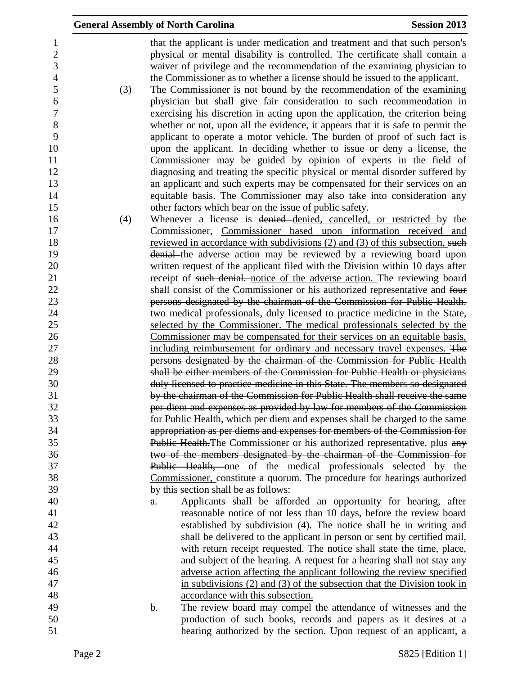|     | <b>General Assembly of North Carolina</b>                                                                                                                                                                                               | <b>Session 2013</b> |
|-----|-----------------------------------------------------------------------------------------------------------------------------------------------------------------------------------------------------------------------------------------|---------------------|
|     | that the applicant is under medication and treatment and that such person's<br>physical or mental disability is controlled. The certificate shall contain a<br>waiver of privilege and the recommendation of the examining physician to |                     |
| (3) | the Commissioner as to whether a license should be issued to the applicant.<br>The Commissioner is not bound by the recommendation of the examining                                                                                     |                     |
|     | physician but shall give fair consideration to such recommendation in                                                                                                                                                                   |                     |
|     | exercising his discretion in acting upon the application, the criterion being                                                                                                                                                           |                     |
|     | whether or not, upon all the evidence, it appears that it is safe to permit the                                                                                                                                                         |                     |
|     | applicant to operate a motor vehicle. The burden of proof of such fact is                                                                                                                                                               |                     |
|     | upon the applicant. In deciding whether to issue or deny a license, the                                                                                                                                                                 |                     |
|     | Commissioner may be guided by opinion of experts in the field of                                                                                                                                                                        |                     |
|     | diagnosing and treating the specific physical or mental disorder suffered by                                                                                                                                                            |                     |
|     | an applicant and such experts may be compensated for their services on an                                                                                                                                                               |                     |
|     | equitable basis. The Commissioner may also take into consideration any                                                                                                                                                                  |                     |
|     | other factors which bear on the issue of public safety.<br>Whenever a license is denied denied, cancelled, or restricted by the                                                                                                         |                     |
| (4) | Commissioner, Commissioner based upon information received and                                                                                                                                                                          |                     |
|     | reviewed in accordance with subdivisions (2) and (3) of this subsection, such                                                                                                                                                           |                     |
|     | denial the adverse action may be reviewed by a reviewing board upon                                                                                                                                                                     |                     |
|     | written request of the applicant filed with the Division within 10 days after                                                                                                                                                           |                     |
|     | receipt of such denial. notice of the adverse action. The reviewing board                                                                                                                                                               |                     |
|     | shall consist of the Commissioner or his authorized representative and four                                                                                                                                                             |                     |
|     | persons designated by the chairman of the Commission for Public Health.                                                                                                                                                                 |                     |
|     | two medical professionals, duly licensed to practice medicine in the State,                                                                                                                                                             |                     |
|     | selected by the Commissioner. The medical professionals selected by the                                                                                                                                                                 |                     |
|     | Commissioner may be compensated for their services on an equitable basis,                                                                                                                                                               |                     |
|     | including reimbursement for ordinary and necessary travel expenses. The<br>persons designated by the chairman of the Commission for Public Health                                                                                       |                     |
|     | shall be either members of the Commission for Public Health or physicians                                                                                                                                                               |                     |
|     | duly licensed to practice medicine in this State. The members so designated                                                                                                                                                             |                     |
|     | by the chairman of the Commission for Public Health shall receive the same                                                                                                                                                              |                     |
|     | per diem and expenses as provided by law for members of the Commission                                                                                                                                                                  |                     |
|     | for Public Health, which per diem and expenses shall be charged to the same                                                                                                                                                             |                     |
|     | appropriation as per diems and expenses for members of the Commission for                                                                                                                                                               |                     |
|     | Public Health. The Commissioner or his authorized representative, plus any                                                                                                                                                              |                     |
|     | two of the members designated by the chairman of the Commission for                                                                                                                                                                     |                     |
|     | Public Health, one of the medical professionals selected by the                                                                                                                                                                         |                     |
|     | Commissioner, constitute a quorum. The procedure for hearings authorized<br>by this section shall be as follows:                                                                                                                        |                     |
|     | Applicants shall be afforded an opportunity for hearing, after<br>a.                                                                                                                                                                    |                     |
|     | reasonable notice of not less than 10 days, before the review board                                                                                                                                                                     |                     |
|     | established by subdivision (4). The notice shall be in writing and                                                                                                                                                                      |                     |
|     | shall be delivered to the applicant in person or sent by certified mail,                                                                                                                                                                |                     |
|     | with return receipt requested. The notice shall state the time, place,                                                                                                                                                                  |                     |
|     | and subject of the hearing. A request for a hearing shall not stay any                                                                                                                                                                  |                     |
|     | adverse action affecting the applicant following the review specified                                                                                                                                                                   |                     |
|     | in subdivisions $(2)$ and $(3)$ of the subsection that the Division took in                                                                                                                                                             |                     |
|     | accordance with this subsection.                                                                                                                                                                                                        |                     |
|     | $\mathbf b$ .<br>The review board may compel the attendance of witnesses and the                                                                                                                                                        |                     |
|     | production of such books, records and papers as it desires at a                                                                                                                                                                         |                     |
|     | hearing authorized by the section. Upon request of an applicant, a                                                                                                                                                                      |                     |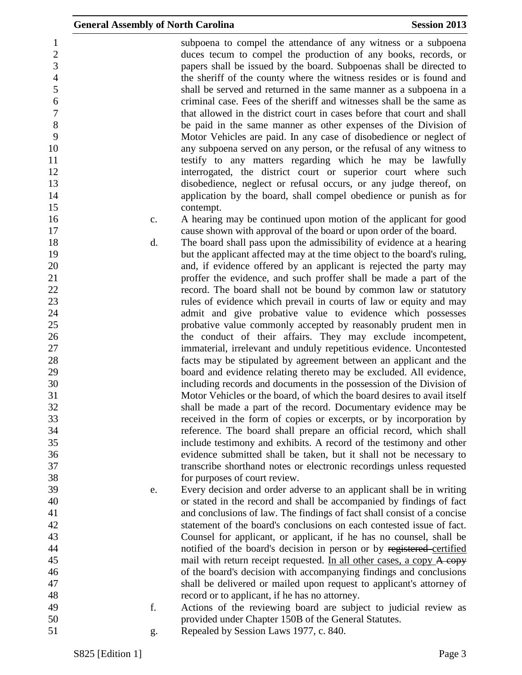| 1                |                | subpoena to compel the attendance of any witness or a subpoena           |
|------------------|----------------|--------------------------------------------------------------------------|
| $\overline{c}$   |                | duces tecum to compel the production of any books, records, or           |
| 3                |                | papers shall be issued by the board. Subpoenas shall be directed to      |
| $\overline{4}$   |                | the sheriff of the county where the witness resides or is found and      |
| 5                |                | shall be served and returned in the same manner as a subpoena in a       |
| $\boldsymbol{6}$ |                | criminal case. Fees of the sheriff and witnesses shall be the same as    |
| $\boldsymbol{7}$ |                | that allowed in the district court in cases before that court and shall  |
| 8                |                | be paid in the same manner as other expenses of the Division of          |
| 9                |                | Motor Vehicles are paid. In any case of disobedience or neglect of       |
| 10               |                | any subpoena served on any person, or the refusal of any witness to      |
| 11               |                | testify to any matters regarding which he may be lawfully                |
| 12               |                | interrogated, the district court or superior court where such            |
| 13               |                | disobedience, neglect or refusal occurs, or any judge thereof, on        |
| 14               |                |                                                                          |
|                  |                | application by the board, shall compel obedience or punish as for        |
| 15               |                | contempt.                                                                |
| 16               | $\mathbf{c}$ . | A hearing may be continued upon motion of the applicant for good         |
| 17               |                | cause shown with approval of the board or upon order of the board.       |
| 18               | d.             | The board shall pass upon the admissibility of evidence at a hearing     |
| 19               |                | but the applicant affected may at the time object to the board's ruling, |
| 20               |                | and, if evidence offered by an applicant is rejected the party may       |
| 21               |                | proffer the evidence, and such proffer shall be made a part of the       |
| 22               |                | record. The board shall not be bound by common law or statutory          |
| 23               |                | rules of evidence which prevail in courts of law or equity and may       |
| 24               |                | admit and give probative value to evidence which possesses               |
| 25               |                | probative value commonly accepted by reasonably prudent men in           |
| 26               |                | the conduct of their affairs. They may exclude incompetent,              |
| 27               |                | immaterial, irrelevant and unduly repetitious evidence. Uncontested      |
| 28               |                | facts may be stipulated by agreement between an applicant and the        |
| 29               |                | board and evidence relating thereto may be excluded. All evidence,       |
| 30               |                | including records and documents in the possession of the Division of     |
| 31               |                | Motor Vehicles or the board, of which the board desires to avail itself  |
| 32               |                | shall be made a part of the record. Documentary evidence may be          |
| 33               |                | received in the form of copies or excerpts, or by incorporation by       |
| 34               |                | reference. The board shall prepare an official record, which shall       |
| 35               |                | include testimony and exhibits. A record of the testimony and other      |
| 36               |                | evidence submitted shall be taken, but it shall not be necessary to      |
| 37               |                | transcribe shorthand notes or electronic recordings unless requested     |
| 38               |                | for purposes of court review.                                            |
| 39               | e.             | Every decision and order adverse to an applicant shall be in writing     |
| 40               |                | or stated in the record and shall be accompanied by findings of fact     |
| 41               |                | and conclusions of law. The findings of fact shall consist of a concise  |
| 42               |                | statement of the board's conclusions on each contested issue of fact.    |
| 43               |                | Counsel for applicant, or applicant, if he has no counsel, shall be      |
| 44               |                | notified of the board's decision in person or by registered-certified    |
| 45               |                | mail with return receipt requested. In all other cases, a copy A copy    |
| 46               |                | of the board's decision with accompanying findings and conclusions       |
| 47               |                |                                                                          |
| 48               |                | shall be delivered or mailed upon request to applicant's attorney of     |
| 49               | f.             | record or to applicant, if he has no attorney.                           |
| 50               |                | Actions of the reviewing board are subject to judicial review as         |
|                  |                | provided under Chapter 150B of the General Statutes.                     |
| 51               | g.             | Repealed by Session Laws 1977, c. 840.                                   |